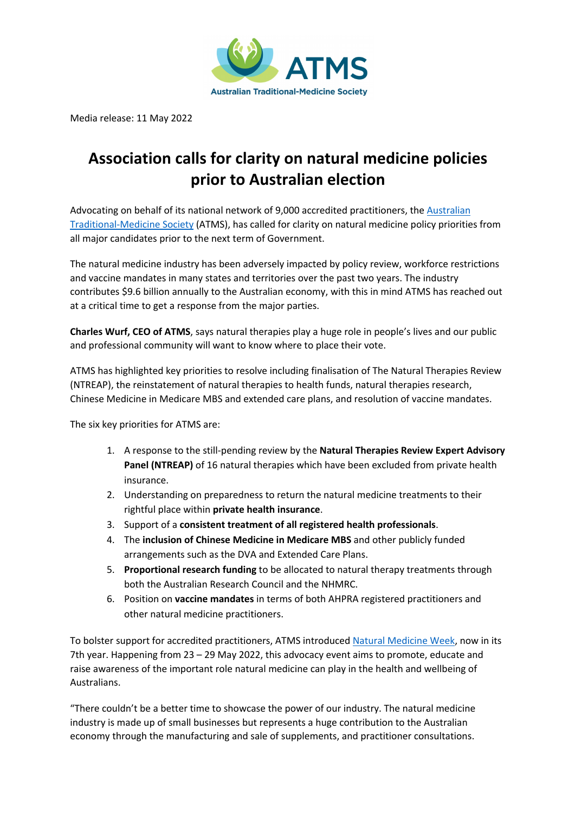

Media release: 11 May 2022

## **Association calls for clarity on natural medicine policies prior to Australian election**

Advocating on behalf of its national network of 9,000 accredited practitioners, the Australian Traditional-Medicine Society (ATMS), has called for clarity on natural medicine policy priorities from all major candidates prior to the next term of Government.

The natural medicine industry has been adversely impacted by policy review, workforce restrictions and vaccine mandates in many states and territories over the past two years. The industry contributes \$9.6 billion annually to the Australian economy, with this in mind ATMS has reached out at a critical time to get a response from the major parties.

**Charles Wurf, CEO of ATMS**, says natural therapies play a huge role in people's lives and our public and professional community will want to know where to place their vote.

ATMS has highlighted key priorities to resolve including finalisation of The Natural Therapies Review (NTREAP), the reinstatement of natural therapies to health funds, natural therapies research, Chinese Medicine in Medicare MBS and extended care plans, and resolution of vaccine mandates.

The six key priorities for ATMS are:

- 1. A response to the still-pending review by the **Natural Therapies Review Expert Advisory Panel (NTREAP)** of 16 natural therapies which have been excluded from private health insurance.
- 2. Understanding on preparedness to return the natural medicine treatments to their rightful place within **private health insurance**.
- 3. Support of a **consistent treatment of all registered health professionals**.
- 4. The **inclusion of Chinese Medicine in Medicare MBS** and other publicly funded arrangements such as the DVA and Extended Care Plans.
- 5. **Proportional research funding** to be allocated to natural therapy treatments through both the Australian Research Council and the NHMRC.
- 6. Position on **vaccine mandates** in terms of both AHPRA registered practitioners and other natural medicine practitioners.

To bolster support for accredited practitioners, ATMS introduced Natural Medicine Week, now in its 7th year. Happening from 23 – 29 May 2022, this advocacy event aims to promote, educate and raise awareness of the important role natural medicine can play in the health and wellbeing of Australians.

"There couldn't be a better time to showcase the power of our industry. The natural medicine industry is made up of small businesses but represents a huge contribution to the Australian economy through the manufacturing and sale of supplements, and practitioner consultations.